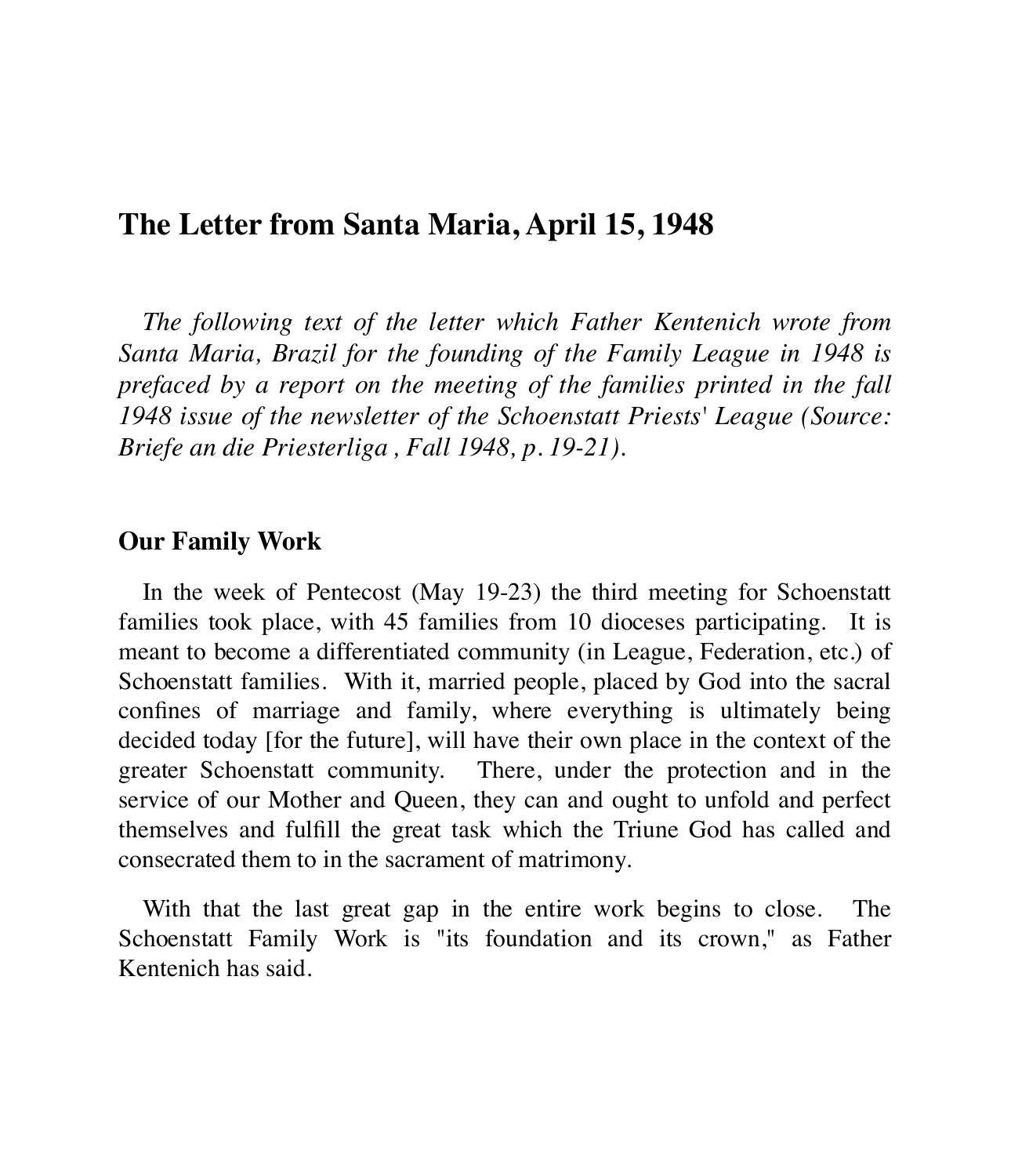## **The Letter from Santa Maria, April 15, 1948**

*The following text of the letter which Father Kentenich wrote from Santa Maria, Brazil for the founding of the Family League in 1948 is prefaced by a report on the meeting of the families printed in the fall 1948 issue of the newsletter of the Schoenstatt Priests' League (Source: Briefe an die Priesterliga , Fall 1948, p. 19-21).*

## **Our Family Work**

In the week of Pentecost (May 19-23) the third meeting for Schoenstatt families took place, with 45 families from 10 dioceses participating. It is meant to become a differentiated community (in League, Federation, etc.) of Schoenstatt families. With it, married people, placed by God into the sacral confines of marriage and family, where everything is ultimately being decided today [for the future], will have their own place in the context of the greater Schoenstatt community. There, under the protection and in the service of our Mother and Queen, they can and ought to unfold and perfect themselves and fulfill the great task which the Triune God has called and consecrated them to in the sacrament of matrimony.

With that the last great gap in the entire work begins to close. The Schoenstatt Family Work is "its foundation and its crown," as Father Kentenich has said.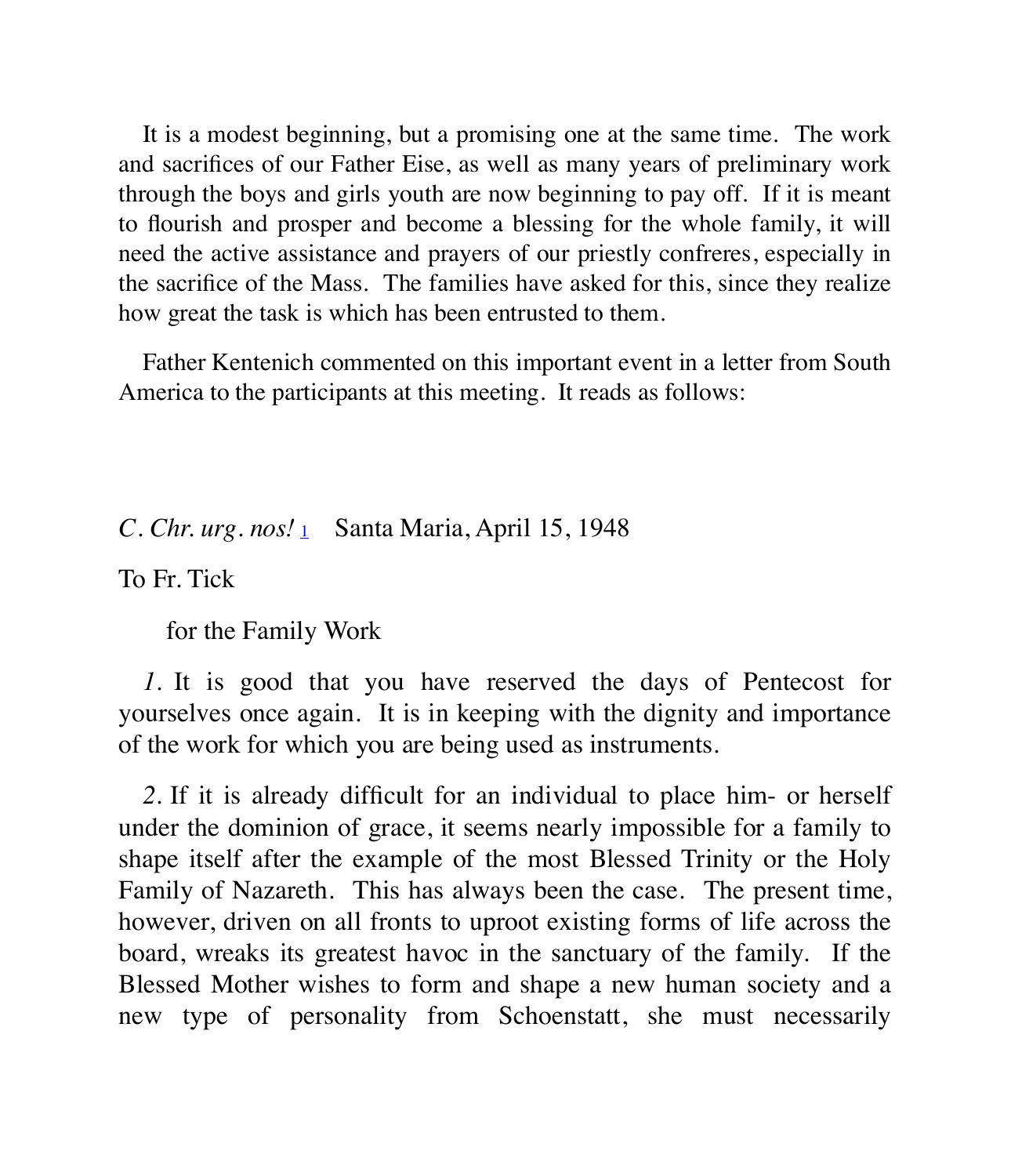It is a modest beginning, but a promising one at the same time. The work and sacrifices of our Father Eise, as well as many years of preliminary work through the boys and girls youth are now beginning to pay off. If it is meant to flourish and prosper and become a blessing for the whole family, it will need the active assistance and prayers of our priestly confreres, especially in the sacrifice of the Mass. The families have asked for this, since they realize how great the task is which has been entrusted to them.

Father Kentenich commented on this important event in a letter from South America to the participants at this meeting. It reads as follows:

## *C. Chr. urg. nos!* 1 Santa Maria, April 15, 1948

To Fr. Tick

for the Family Work

*1.* It is good that you have reserved the days of Pentecost for yourselves once again. It is in keeping with the dignity and importance of the work for which you are being used as instruments.

*2.* If it is already difficult for an individual to place him- or herself under the dominion of grace, it seems nearly impossible for a family to shape itself after the example of the most Blessed Trinity or the Holy Family of Nazareth. This has always been the case. The present time, however, driven on all fronts to uproot existing forms of life across the board, wreaks its greatest havoc in the sanctuary of the family. If the Blessed Mother wishes to form and shape a new human society and a new type of personality from Schoenstatt, she must necessarily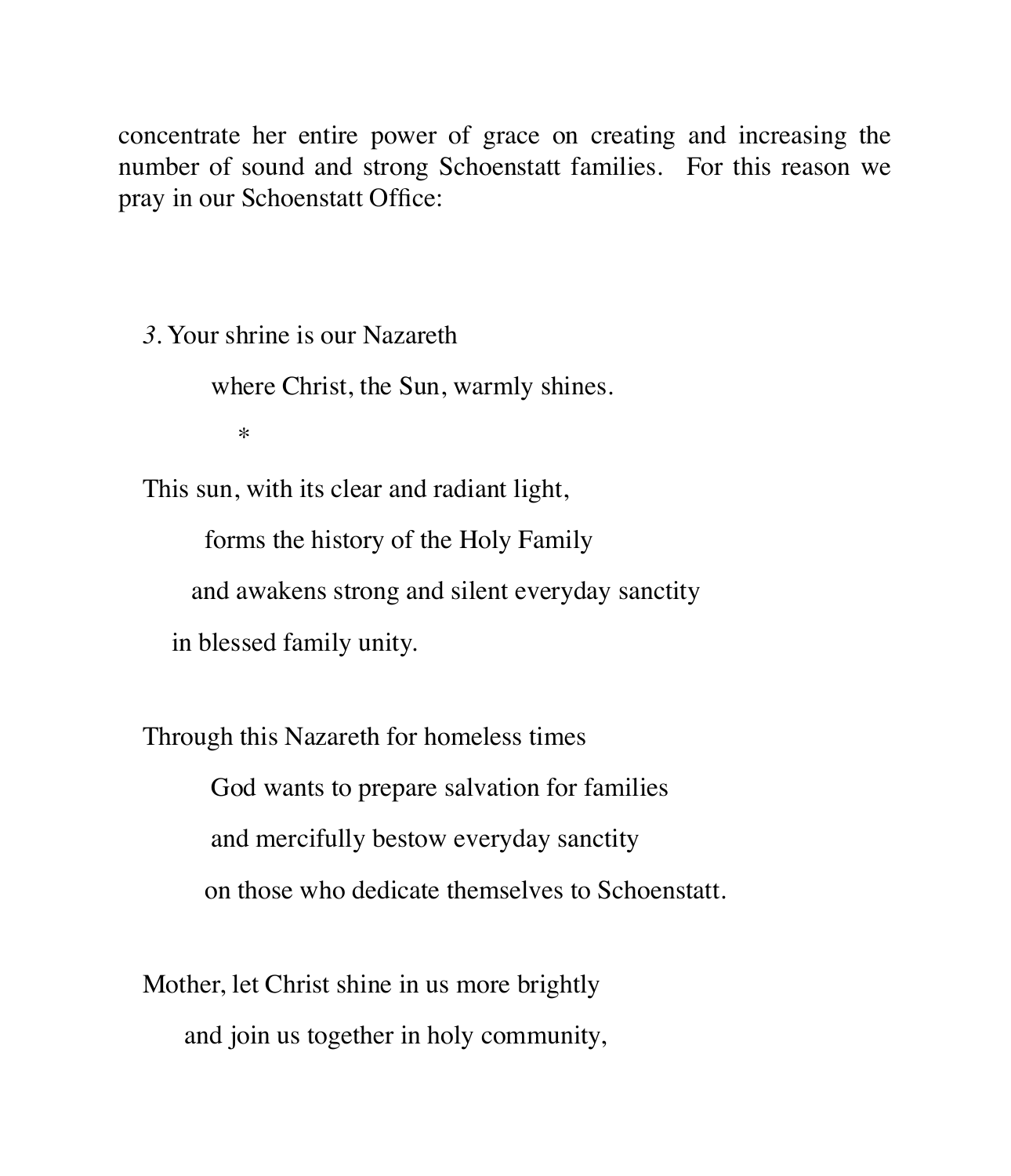concentrate her entire power of grace on creating and increasing the number of sound and strong Schoenstatt families. For this reason we pray in our Schoenstatt Office:

*3.* Your shrine is our Nazareth

where Christ, the Sun, warmly shines.

 $\ast$ 

This sun, with its clear and radiant light,

forms the history of the Holy Family

and awakens strong and silent everyday sanctity

in blessed family unity.

Through this Nazareth for homeless times God wants to prepare salvation for families and mercifully bestow everyday sanctity on those who dedicate themselves to Schoenstatt.

Mother, let Christ shine in us more brightly and join us together in holy community,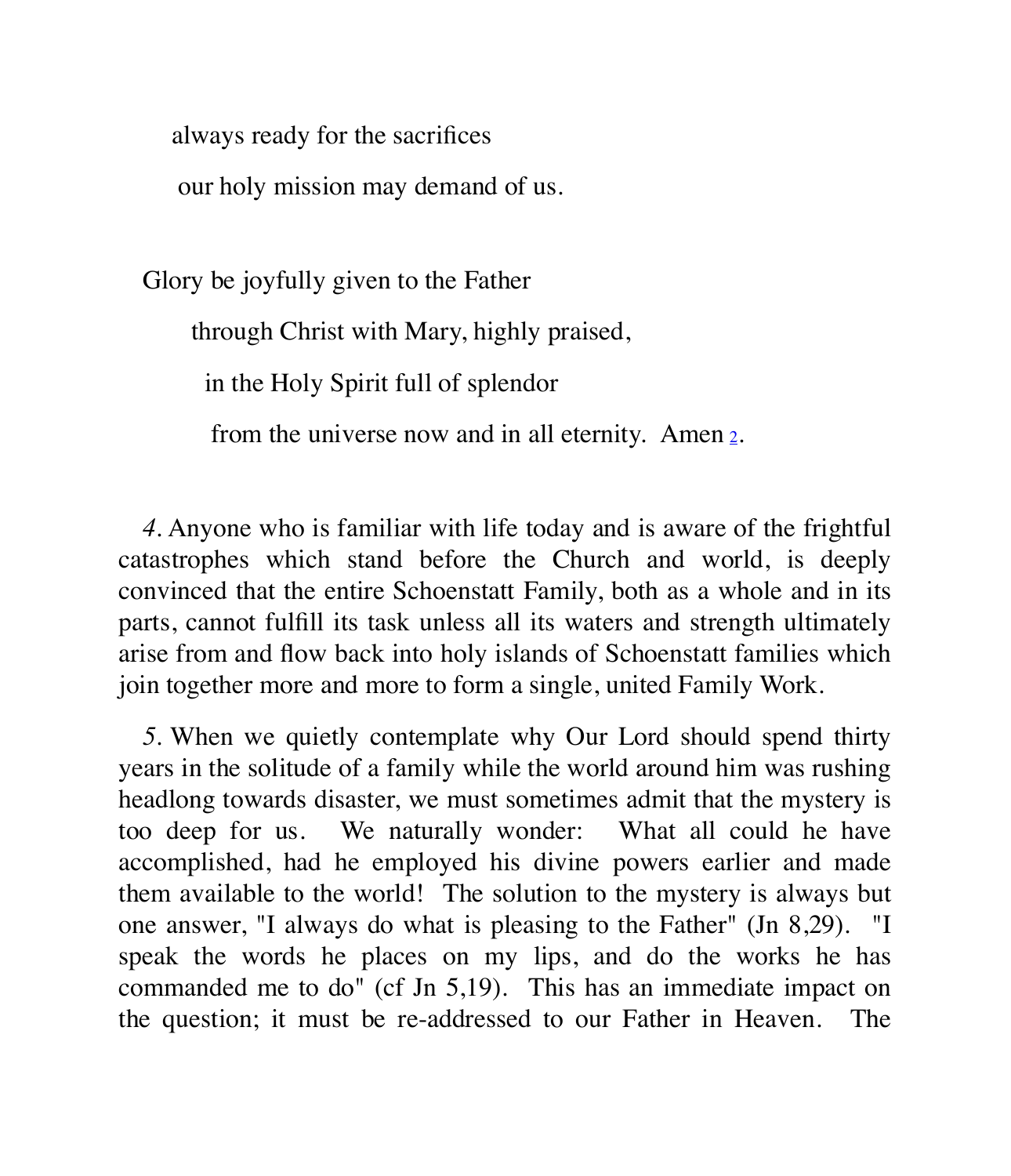always ready for the sacrifices

our holy mission may demand of us.

Glory be joyfully given to the Father

through Christ with Mary, highly praised,

in the Holy Spirit full of splendor

from the universe now and in all eternity. Amen 2.

*4.* Anyone who is familiar with life today and is aware of the frightful catastrophes which stand before the Church and world, is deeply convinced that the entire Schoenstatt Family, both as a whole and in its parts, cannot fulfill its task unless all its waters and strength ultimately arise from and flow back into holy islands of Schoenstatt families which join together more and more to form a single, united Family Work.

*5.* When we quietly contemplate why Our Lord should spend thirty years in the solitude of a family while the world around him was rushing headlong towards disaster, we must sometimes admit that the mystery is too deep for us. We naturally wonder: What all could he have accomplished, had he employed his divine powers earlier and made them available to the world! The solution to the mystery is always but one answer, "I always do what is pleasing to the Father" (Jn 8,29). "I speak the words he places on my lips, and do the works he has commanded me to do" (cf Jn 5,19). This has an immediate impact on the question; it must be re-addressed to our Father in Heaven. The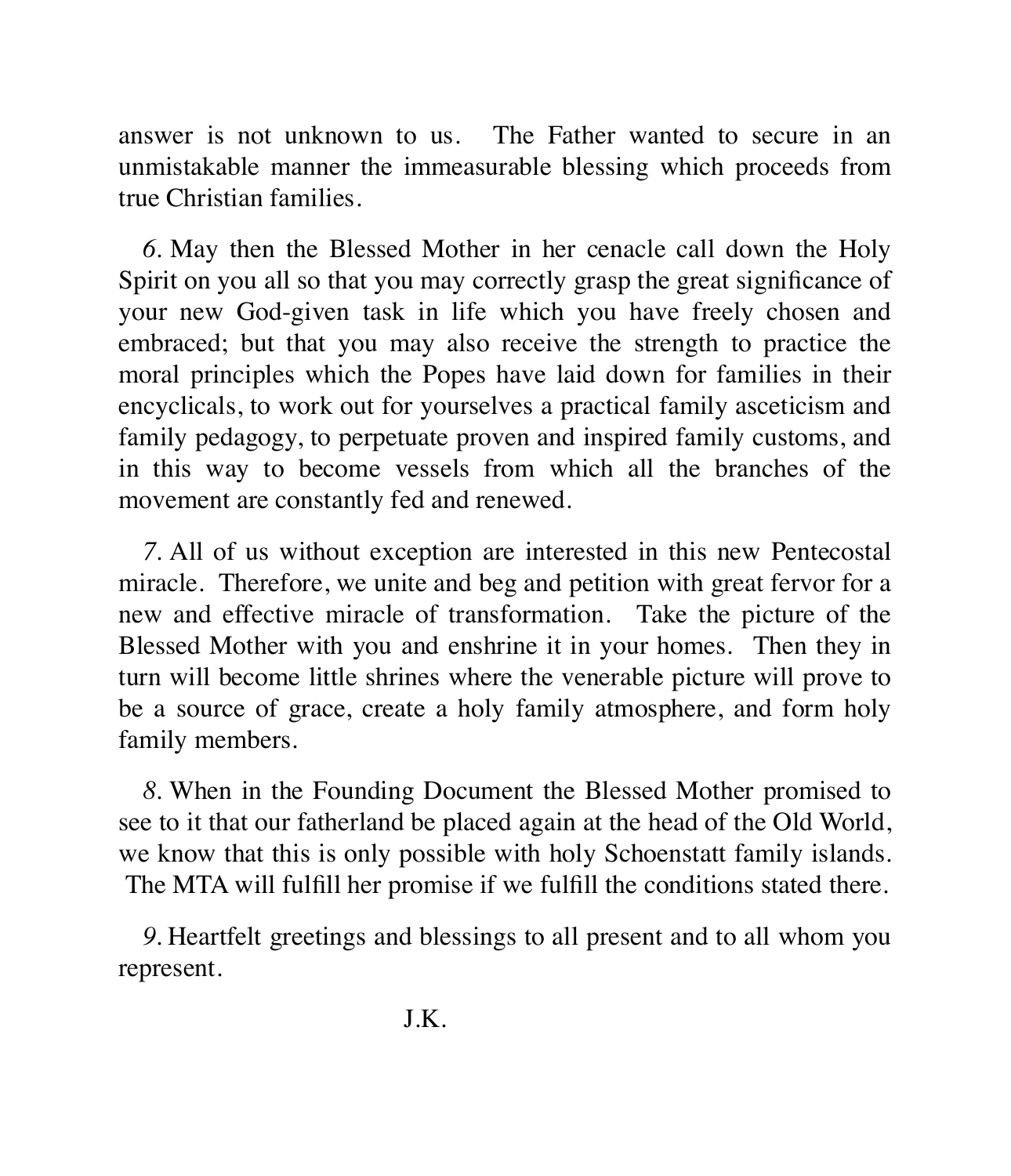answer is not unknown to us. The Father wanted to secure in an unmistakable manner the immeasurable blessing which proceeds from true Christian families.

*6.* May then the Blessed Mother in her cenacle call down the Holy Spirit on you all so that you may correctly grasp the great significance of your new God-given task in life which you have freely chosen and embraced; but that you may also receive the strength to practice the moral principles which the Popes have laid down for families in their encyclicals, to work out for yourselves a practical family asceticism and family pedagogy, to perpetuate proven and inspired family customs, and in this way to become vessels from which all the branches of the movement are constantly fed and renewed.

*7.* All of us without exception are interested in this new Pentecostal miracle. Therefore, we unite and beg and petition with great fervor for a new and effective miracle of transformation. Take the picture of the Blessed Mother with you and enshrine it in your homes. Then they in turn will become little shrines where the venerable picture will prove to be a source of grace, create a holy family atmosphere, and form holy family members.

*8.* When in the Founding Document the Blessed Mother promised to see to it that our fatherland be placed again at the head of the Old World, we know that this is only possible with holy Schoenstatt family islands. The MTA will fulfill her promise if we fulfill the conditions stated there.

*9.* Heartfelt greetings and blessings to all present and to all whom you represent.